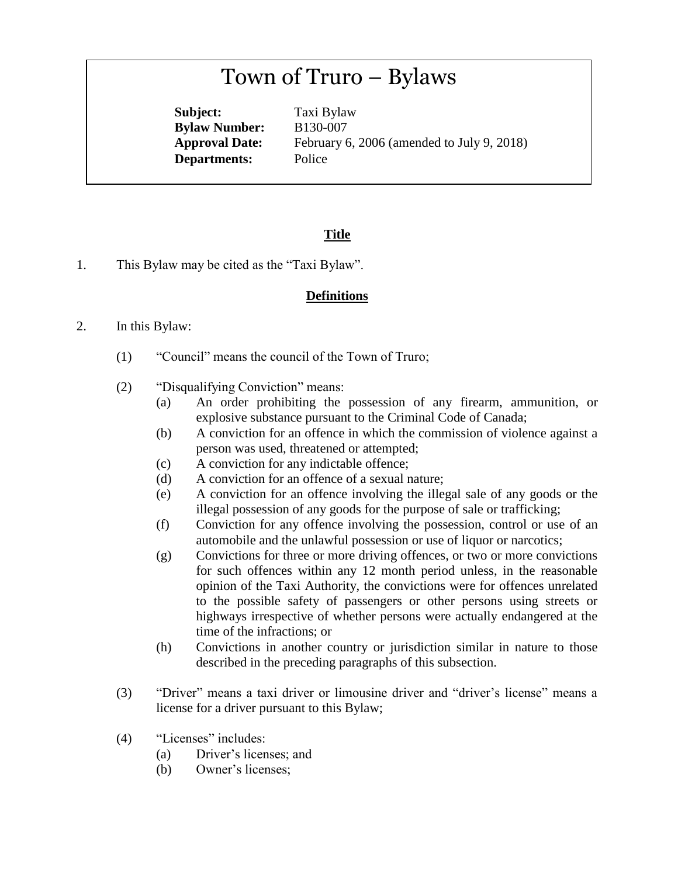# Town of Truro – Bylaws

**Subject:** Taxi Bylaw **Bylaw Number:** B130-007 **Departments:** Police

**Approval Date:** February 6, 2006 (amended to July 9, 2018)

# **Title**

1. This Bylaw may be cited as the "Taxi Bylaw".

#### **Definitions**

- 2. In this Bylaw:
	- (1) "Council" means the council of the Town of Truro;
	- (2) "Disqualifying Conviction" means:
		- (a) An order prohibiting the possession of any firearm, ammunition, or explosive substance pursuant to the Criminal Code of Canada;
		- (b) A conviction for an offence in which the commission of violence against a person was used, threatened or attempted;
		- (c) A conviction for any indictable offence;
		- (d) A conviction for an offence of a sexual nature;
		- (e) A conviction for an offence involving the illegal sale of any goods or the illegal possession of any goods for the purpose of sale or trafficking;
		- (f) Conviction for any offence involving the possession, control or use of an automobile and the unlawful possession or use of liquor or narcotics;
		- (g) Convictions for three or more driving offences, or two or more convictions for such offences within any 12 month period unless, in the reasonable opinion of the Taxi Authority, the convictions were for offences unrelated to the possible safety of passengers or other persons using streets or highways irrespective of whether persons were actually endangered at the time of the infractions; or
		- (h) Convictions in another country or jurisdiction similar in nature to those described in the preceding paragraphs of this subsection.
	- (3) "Driver" means a taxi driver or limousine driver and "driver's license" means a license for a driver pursuant to this Bylaw;
	- (4) "Licenses" includes:
		- (a) Driver's licenses; and
		- (b) Owner's licenses;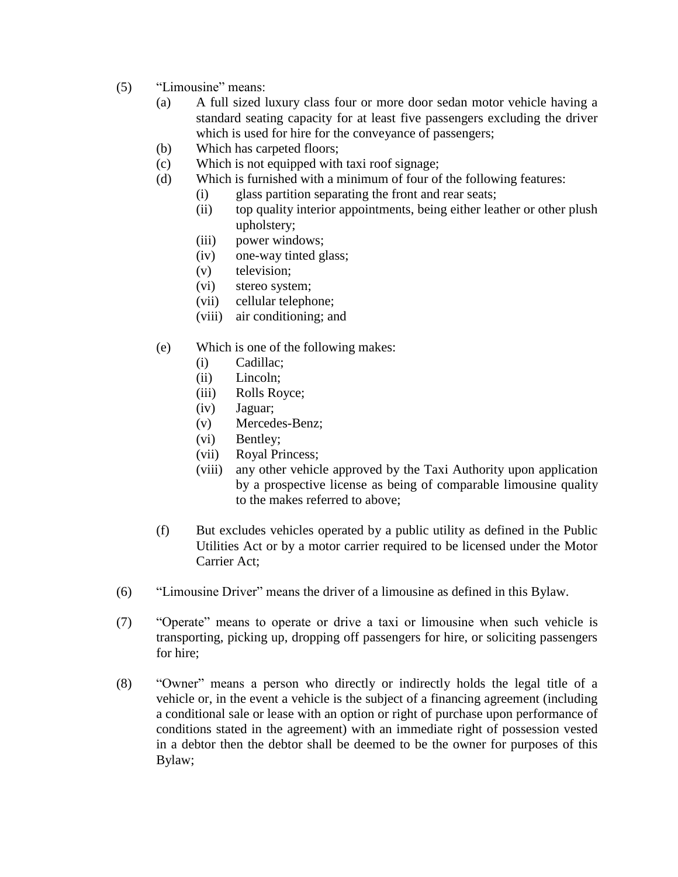- (5) "Limousine" means:
	- (a) A full sized luxury class four or more door sedan motor vehicle having a standard seating capacity for at least five passengers excluding the driver which is used for hire for the conveyance of passengers;
	- (b) Which has carpeted floors;
	- (c) Which is not equipped with taxi roof signage;
	- (d) Which is furnished with a minimum of four of the following features:
		- (i) glass partition separating the front and rear seats;
		- (ii) top quality interior appointments, being either leather or other plush upholstery;
		- (iii) power windows;
		- (iv) one-way tinted glass;
		- (v) television;
		- (vi) stereo system;
		- (vii) cellular telephone;
		- (viii) air conditioning; and
	- (e) Which is one of the following makes:
		- (i) Cadillac;
		- (ii) Lincoln;
		- (iii) Rolls Royce;
		- (iv) Jaguar;
		- (v) Mercedes-Benz;
		- (vi) Bentley;
		- (vii) Royal Princess;
		- (viii) any other vehicle approved by the Taxi Authority upon application by a prospective license as being of comparable limousine quality to the makes referred to above;
	- (f) But excludes vehicles operated by a public utility as defined in the Public Utilities Act or by a motor carrier required to be licensed under the Motor Carrier Act;
- (6) "Limousine Driver" means the driver of a limousine as defined in this Bylaw.
- (7) "Operate" means to operate or drive a taxi or limousine when such vehicle is transporting, picking up, dropping off passengers for hire, or soliciting passengers for hire;
- (8) "Owner" means a person who directly or indirectly holds the legal title of a vehicle or, in the event a vehicle is the subject of a financing agreement (including a conditional sale or lease with an option or right of purchase upon performance of conditions stated in the agreement) with an immediate right of possession vested in a debtor then the debtor shall be deemed to be the owner for purposes of this Bylaw;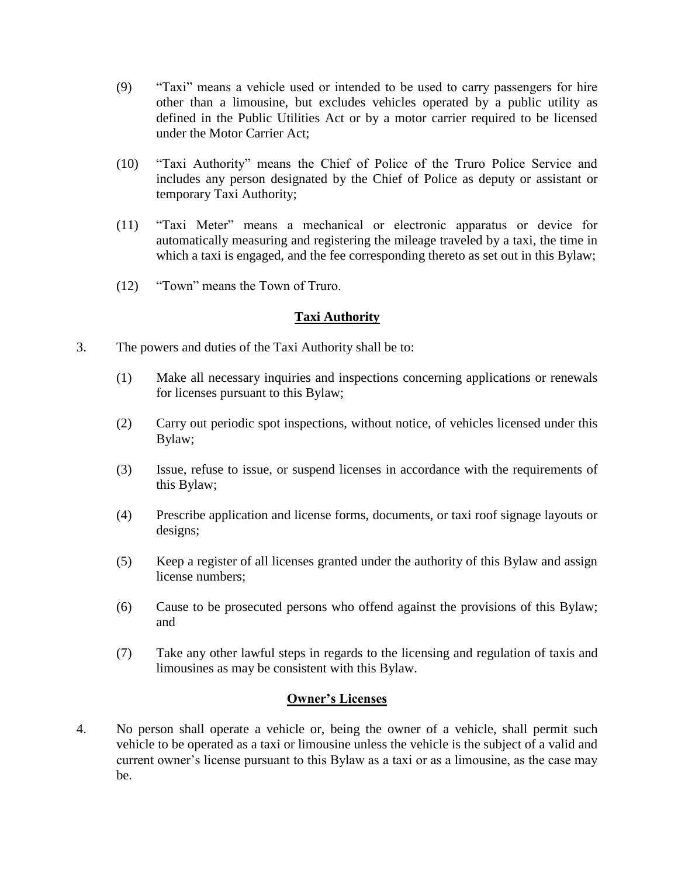- (9) "Taxi" means a vehicle used or intended to be used to carry passengers for hire other than a limousine, but excludes vehicles operated by a public utility as defined in the Public Utilities Act or by a motor carrier required to be licensed under the Motor Carrier Act;
- (10) "Taxi Authority" means the Chief of Police of the Truro Police Service and includes any person designated by the Chief of Police as deputy or assistant or temporary Taxi Authority;
- (11) "Taxi Meter" means a mechanical or electronic apparatus or device for automatically measuring and registering the mileage traveled by a taxi, the time in which a taxi is engaged, and the fee corresponding thereto as set out in this Bylaw;
- (12) "Town" means the Town of Truro.

# **Taxi Authority**

- 3. The powers and duties of the Taxi Authority shall be to:
	- (1) Make all necessary inquiries and inspections concerning applications or renewals for licenses pursuant to this Bylaw;
	- (2) Carry out periodic spot inspections, without notice, of vehicles licensed under this Bylaw;
	- (3) Issue, refuse to issue, or suspend licenses in accordance with the requirements of this Bylaw;
	- (4) Prescribe application and license forms, documents, or taxi roof signage layouts or designs;
	- (5) Keep a register of all licenses granted under the authority of this Bylaw and assign license numbers;
	- (6) Cause to be prosecuted persons who offend against the provisions of this Bylaw; and
	- (7) Take any other lawful steps in regards to the licensing and regulation of taxis and limousines as may be consistent with this Bylaw.

# **Owner's Licenses**

4. No person shall operate a vehicle or, being the owner of a vehicle, shall permit such vehicle to be operated as a taxi or limousine unless the vehicle is the subject of a valid and current owner's license pursuant to this Bylaw as a taxi or as a limousine, as the case may be.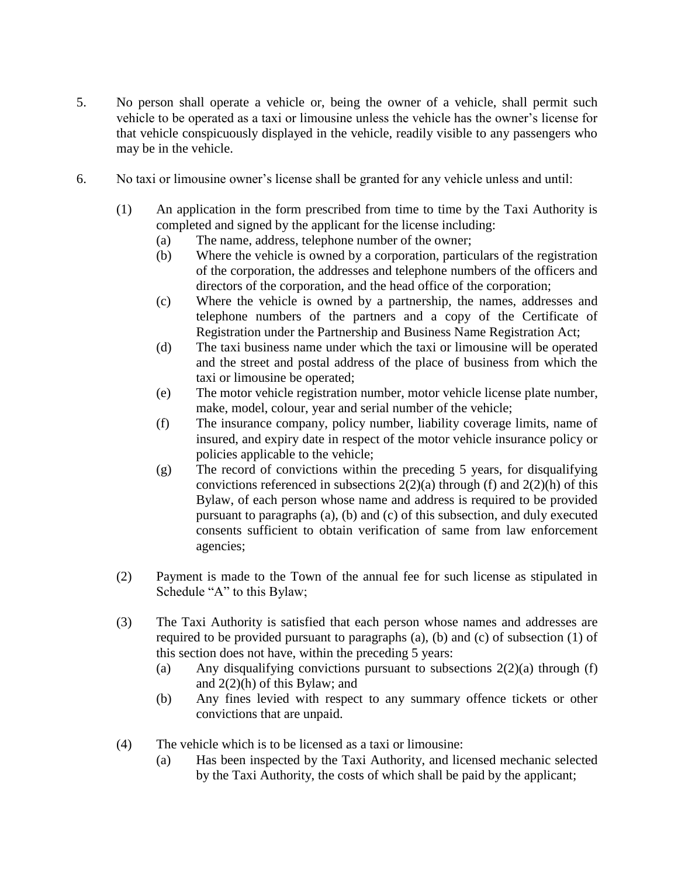- 5. No person shall operate a vehicle or, being the owner of a vehicle, shall permit such vehicle to be operated as a taxi or limousine unless the vehicle has the owner's license for that vehicle conspicuously displayed in the vehicle, readily visible to any passengers who may be in the vehicle.
- 6. No taxi or limousine owner's license shall be granted for any vehicle unless and until:
	- (1) An application in the form prescribed from time to time by the Taxi Authority is completed and signed by the applicant for the license including:
		- (a) The name, address, telephone number of the owner;
		- (b) Where the vehicle is owned by a corporation, particulars of the registration of the corporation, the addresses and telephone numbers of the officers and directors of the corporation, and the head office of the corporation;
		- (c) Where the vehicle is owned by a partnership, the names, addresses and telephone numbers of the partners and a copy of the Certificate of Registration under the Partnership and Business Name Registration Act;
		- (d) The taxi business name under which the taxi or limousine will be operated and the street and postal address of the place of business from which the taxi or limousine be operated;
		- (e) The motor vehicle registration number, motor vehicle license plate number, make, model, colour, year and serial number of the vehicle;
		- (f) The insurance company, policy number, liability coverage limits, name of insured, and expiry date in respect of the motor vehicle insurance policy or policies applicable to the vehicle;
		- (g) The record of convictions within the preceding 5 years, for disqualifying convictions referenced in subsections  $2(2)(a)$  through (f) and  $2(2)(h)$  of this Bylaw, of each person whose name and address is required to be provided pursuant to paragraphs (a), (b) and (c) of this subsection, and duly executed consents sufficient to obtain verification of same from law enforcement agencies;
	- (2) Payment is made to the Town of the annual fee for such license as stipulated in Schedule "A" to this Bylaw;
	- (3) The Taxi Authority is satisfied that each person whose names and addresses are required to be provided pursuant to paragraphs (a), (b) and (c) of subsection (1) of this section does not have, within the preceding 5 years:
		- (a) Any disqualifying convictions pursuant to subsections  $2(2)(a)$  through (f) and 2(2)(h) of this Bylaw; and
		- (b) Any fines levied with respect to any summary offence tickets or other convictions that are unpaid.
	- (4) The vehicle which is to be licensed as a taxi or limousine:
		- (a) Has been inspected by the Taxi Authority, and licensed mechanic selected by the Taxi Authority, the costs of which shall be paid by the applicant;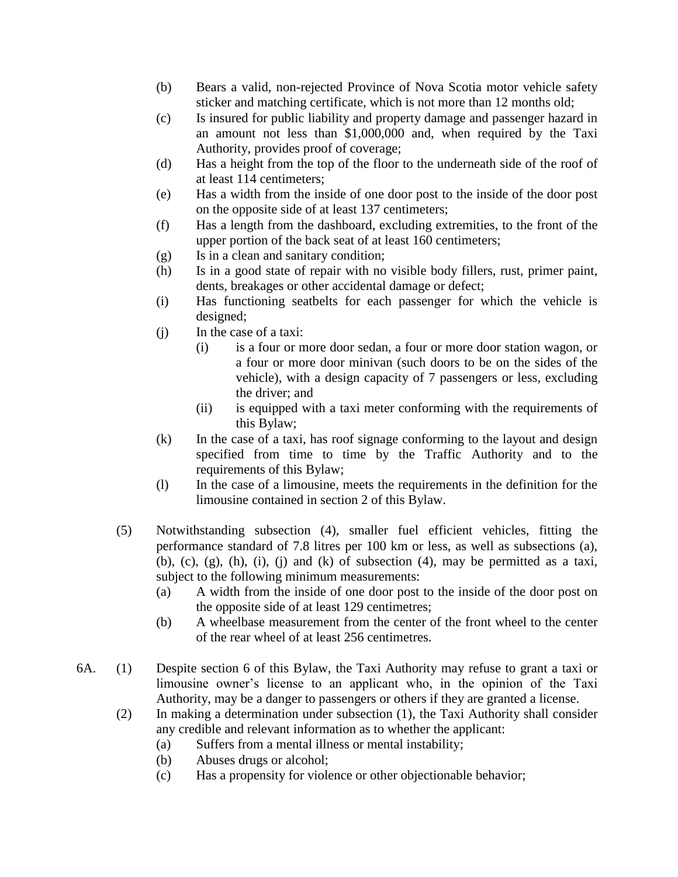- (b) Bears a valid, non-rejected Province of Nova Scotia motor vehicle safety sticker and matching certificate, which is not more than 12 months old;
- (c) Is insured for public liability and property damage and passenger hazard in an amount not less than \$1,000,000 and, when required by the Taxi Authority, provides proof of coverage;
- (d) Has a height from the top of the floor to the underneath side of the roof of at least 114 centimeters;
- (e) Has a width from the inside of one door post to the inside of the door post on the opposite side of at least 137 centimeters;
- (f) Has a length from the dashboard, excluding extremities, to the front of the upper portion of the back seat of at least 160 centimeters;
- (g) Is in a clean and sanitary condition;
- (h) Is in a good state of repair with no visible body fillers, rust, primer paint, dents, breakages or other accidental damage or defect;
- (i) Has functioning seatbelts for each passenger for which the vehicle is designed;
- (j) In the case of a taxi:
	- (i) is a four or more door sedan, a four or more door station wagon, or a four or more door minivan (such doors to be on the sides of the vehicle), with a design capacity of 7 passengers or less, excluding the driver; and
	- (ii) is equipped with a taxi meter conforming with the requirements of this Bylaw;
- (k) In the case of a taxi, has roof signage conforming to the layout and design specified from time to time by the Traffic Authority and to the requirements of this Bylaw;
- (l) In the case of a limousine, meets the requirements in the definition for the limousine contained in section 2 of this Bylaw.
- (5) Notwithstanding subsection (4), smaller fuel efficient vehicles, fitting the performance standard of 7.8 litres per 100 km or less, as well as subsections (a), (b), (c), (g), (h), (i), (i) and (k) of subsection (4), may be permitted as a taxi, subject to the following minimum measurements:
	- (a) A width from the inside of one door post to the inside of the door post on the opposite side of at least 129 centimetres;
	- (b) A wheelbase measurement from the center of the front wheel to the center of the rear wheel of at least 256 centimetres.
- 6A. (1) Despite section 6 of this Bylaw, the Taxi Authority may refuse to grant a taxi or limousine owner's license to an applicant who, in the opinion of the Taxi Authority, may be a danger to passengers or others if they are granted a license.
	- (2) In making a determination under subsection (1), the Taxi Authority shall consider any credible and relevant information as to whether the applicant:
		- (a) Suffers from a mental illness or mental instability;
		- (b) Abuses drugs or alcohol;
		- (c) Has a propensity for violence or other objectionable behavior;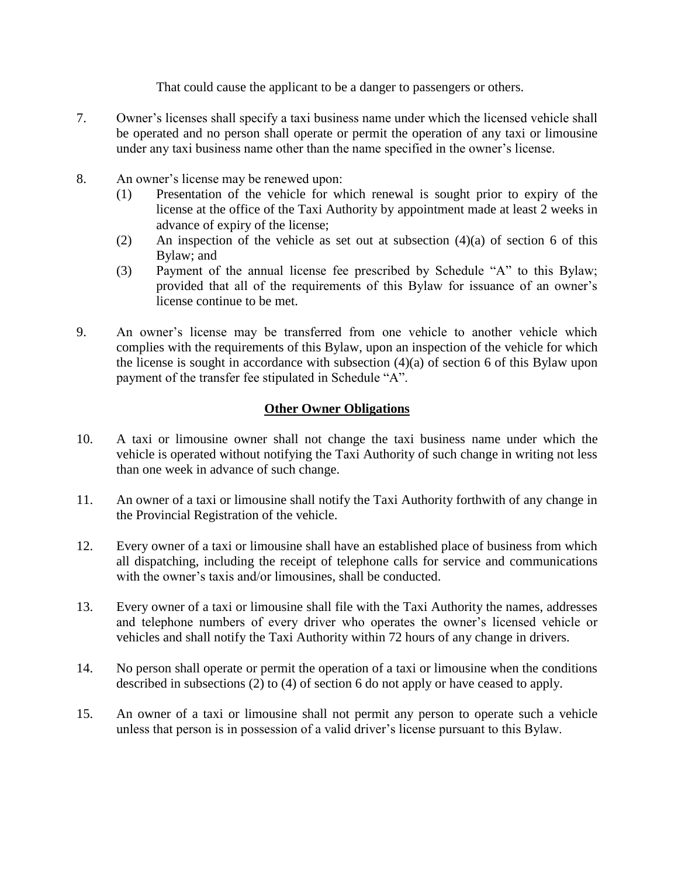That could cause the applicant to be a danger to passengers or others.

- 7. Owner's licenses shall specify a taxi business name under which the licensed vehicle shall be operated and no person shall operate or permit the operation of any taxi or limousine under any taxi business name other than the name specified in the owner's license.
- 8. An owner's license may be renewed upon:
	- (1) Presentation of the vehicle for which renewal is sought prior to expiry of the license at the office of the Taxi Authority by appointment made at least 2 weeks in advance of expiry of the license;
	- (2) An inspection of the vehicle as set out at subsection  $(4)(a)$  of section 6 of this Bylaw; and
	- (3) Payment of the annual license fee prescribed by Schedule "A" to this Bylaw; provided that all of the requirements of this Bylaw for issuance of an owner's license continue to be met.
- 9. An owner's license may be transferred from one vehicle to another vehicle which complies with the requirements of this Bylaw, upon an inspection of the vehicle for which the license is sought in accordance with subsection (4)(a) of section 6 of this Bylaw upon payment of the transfer fee stipulated in Schedule "A".

# **Other Owner Obligations**

- 10. A taxi or limousine owner shall not change the taxi business name under which the vehicle is operated without notifying the Taxi Authority of such change in writing not less than one week in advance of such change.
- 11. An owner of a taxi or limousine shall notify the Taxi Authority forthwith of any change in the Provincial Registration of the vehicle.
- 12. Every owner of a taxi or limousine shall have an established place of business from which all dispatching, including the receipt of telephone calls for service and communications with the owner's taxis and/or limousines, shall be conducted.
- 13. Every owner of a taxi or limousine shall file with the Taxi Authority the names, addresses and telephone numbers of every driver who operates the owner's licensed vehicle or vehicles and shall notify the Taxi Authority within 72 hours of any change in drivers.
- 14. No person shall operate or permit the operation of a taxi or limousine when the conditions described in subsections (2) to (4) of section 6 do not apply or have ceased to apply.
- 15. An owner of a taxi or limousine shall not permit any person to operate such a vehicle unless that person is in possession of a valid driver's license pursuant to this Bylaw.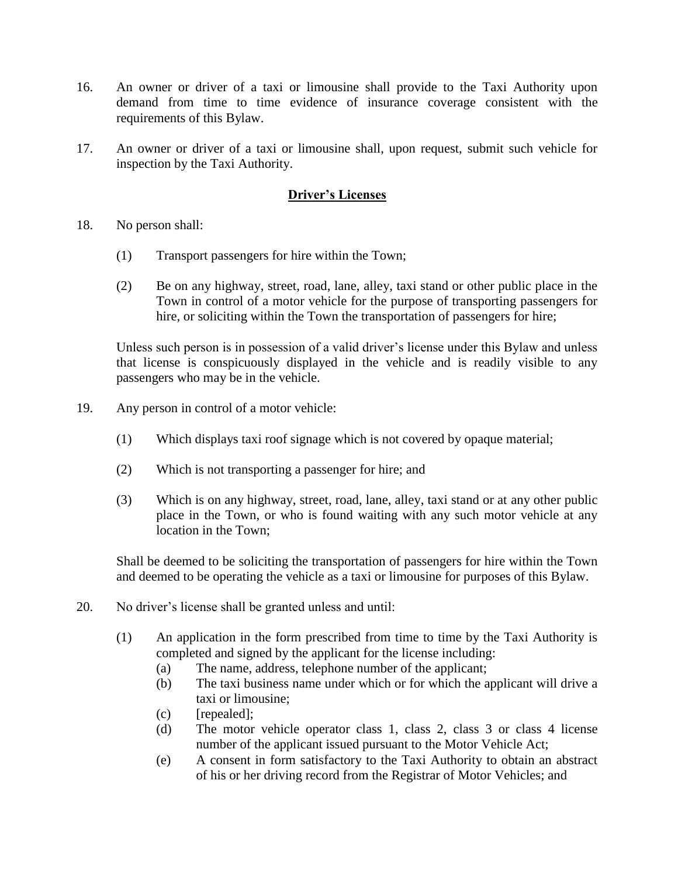- 16. An owner or driver of a taxi or limousine shall provide to the Taxi Authority upon demand from time to time evidence of insurance coverage consistent with the requirements of this Bylaw.
- 17. An owner or driver of a taxi or limousine shall, upon request, submit such vehicle for inspection by the Taxi Authority.

# **Driver's Licenses**

- 18. No person shall:
	- (1) Transport passengers for hire within the Town;
	- (2) Be on any highway, street, road, lane, alley, taxi stand or other public place in the Town in control of a motor vehicle for the purpose of transporting passengers for hire, or soliciting within the Town the transportation of passengers for hire;

Unless such person is in possession of a valid driver's license under this Bylaw and unless that license is conspicuously displayed in the vehicle and is readily visible to any passengers who may be in the vehicle.

- 19. Any person in control of a motor vehicle:
	- (1) Which displays taxi roof signage which is not covered by opaque material;
	- (2) Which is not transporting a passenger for hire; and
	- (3) Which is on any highway, street, road, lane, alley, taxi stand or at any other public place in the Town, or who is found waiting with any such motor vehicle at any location in the Town;

Shall be deemed to be soliciting the transportation of passengers for hire within the Town and deemed to be operating the vehicle as a taxi or limousine for purposes of this Bylaw.

- 20. No driver's license shall be granted unless and until:
	- (1) An application in the form prescribed from time to time by the Taxi Authority is completed and signed by the applicant for the license including:
		- (a) The name, address, telephone number of the applicant;
		- (b) The taxi business name under which or for which the applicant will drive a taxi or limousine;
		- (c) [repealed];
		- (d) The motor vehicle operator class 1, class 2, class 3 or class 4 license number of the applicant issued pursuant to the Motor Vehicle Act;
		- (e) A consent in form satisfactory to the Taxi Authority to obtain an abstract of his or her driving record from the Registrar of Motor Vehicles; and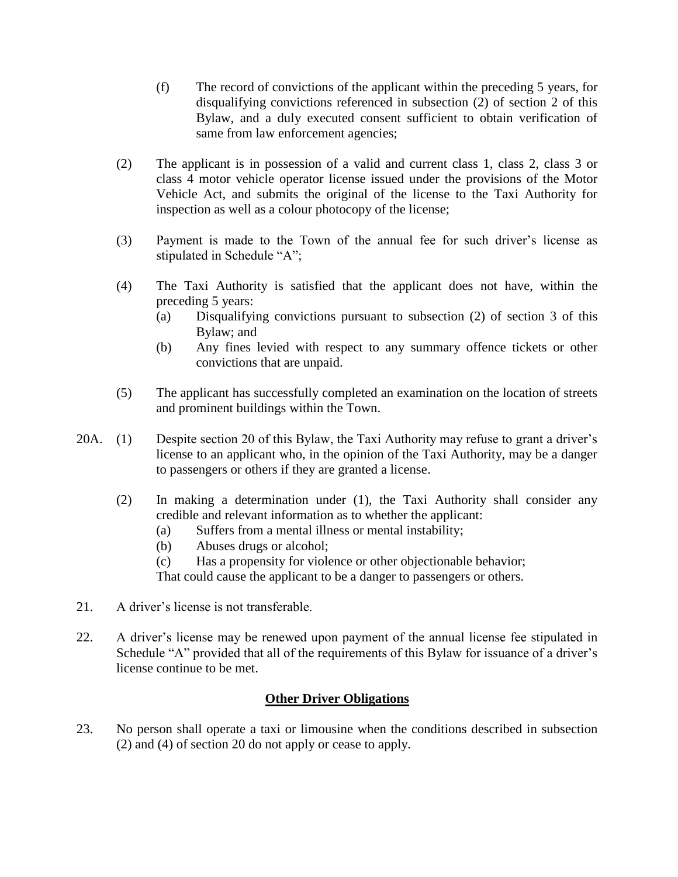- (f) The record of convictions of the applicant within the preceding 5 years, for disqualifying convictions referenced in subsection (2) of section 2 of this Bylaw, and a duly executed consent sufficient to obtain verification of same from law enforcement agencies;
- (2) The applicant is in possession of a valid and current class 1, class 2, class 3 or class 4 motor vehicle operator license issued under the provisions of the Motor Vehicle Act, and submits the original of the license to the Taxi Authority for inspection as well as a colour photocopy of the license;
- (3) Payment is made to the Town of the annual fee for such driver's license as stipulated in Schedule "A";
- (4) The Taxi Authority is satisfied that the applicant does not have, within the preceding 5 years:
	- (a) Disqualifying convictions pursuant to subsection (2) of section 3 of this Bylaw; and
	- (b) Any fines levied with respect to any summary offence tickets or other convictions that are unpaid.
- (5) The applicant has successfully completed an examination on the location of streets and prominent buildings within the Town.
- 20A. (1) Despite section 20 of this Bylaw, the Taxi Authority may refuse to grant a driver's license to an applicant who, in the opinion of the Taxi Authority, may be a danger to passengers or others if they are granted a license.
	- (2) In making a determination under (1), the Taxi Authority shall consider any credible and relevant information as to whether the applicant:
		- (a) Suffers from a mental illness or mental instability;
		- (b) Abuses drugs or alcohol;
		- (c) Has a propensity for violence or other objectionable behavior;

That could cause the applicant to be a danger to passengers or others.

- 21. A driver's license is not transferable.
- 22. A driver's license may be renewed upon payment of the annual license fee stipulated in Schedule "A" provided that all of the requirements of this Bylaw for issuance of a driver's license continue to be met.

#### **Other Driver Obligations**

23. No person shall operate a taxi or limousine when the conditions described in subsection (2) and (4) of section 20 do not apply or cease to apply.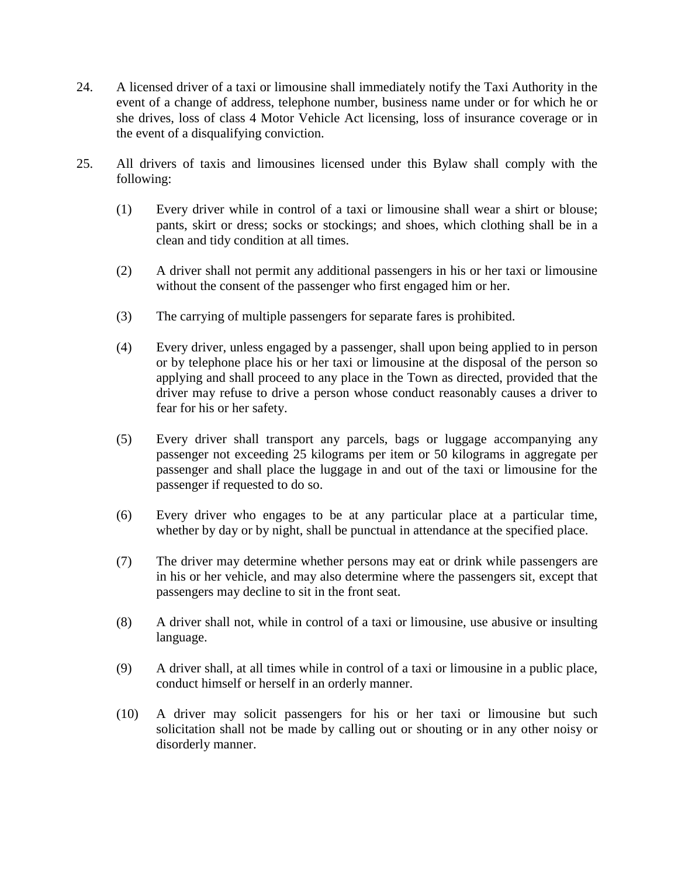- 24. A licensed driver of a taxi or limousine shall immediately notify the Taxi Authority in the event of a change of address, telephone number, business name under or for which he or she drives, loss of class 4 Motor Vehicle Act licensing, loss of insurance coverage or in the event of a disqualifying conviction.
- 25. All drivers of taxis and limousines licensed under this Bylaw shall comply with the following:
	- (1) Every driver while in control of a taxi or limousine shall wear a shirt or blouse; pants, skirt or dress; socks or stockings; and shoes, which clothing shall be in a clean and tidy condition at all times.
	- (2) A driver shall not permit any additional passengers in his or her taxi or limousine without the consent of the passenger who first engaged him or her.
	- (3) The carrying of multiple passengers for separate fares is prohibited.
	- (4) Every driver, unless engaged by a passenger, shall upon being applied to in person or by telephone place his or her taxi or limousine at the disposal of the person so applying and shall proceed to any place in the Town as directed, provided that the driver may refuse to drive a person whose conduct reasonably causes a driver to fear for his or her safety.
	- (5) Every driver shall transport any parcels, bags or luggage accompanying any passenger not exceeding 25 kilograms per item or 50 kilograms in aggregate per passenger and shall place the luggage in and out of the taxi or limousine for the passenger if requested to do so.
	- (6) Every driver who engages to be at any particular place at a particular time, whether by day or by night, shall be punctual in attendance at the specified place.
	- (7) The driver may determine whether persons may eat or drink while passengers are in his or her vehicle, and may also determine where the passengers sit, except that passengers may decline to sit in the front seat.
	- (8) A driver shall not, while in control of a taxi or limousine, use abusive or insulting language.
	- (9) A driver shall, at all times while in control of a taxi or limousine in a public place, conduct himself or herself in an orderly manner.
	- (10) A driver may solicit passengers for his or her taxi or limousine but such solicitation shall not be made by calling out or shouting or in any other noisy or disorderly manner.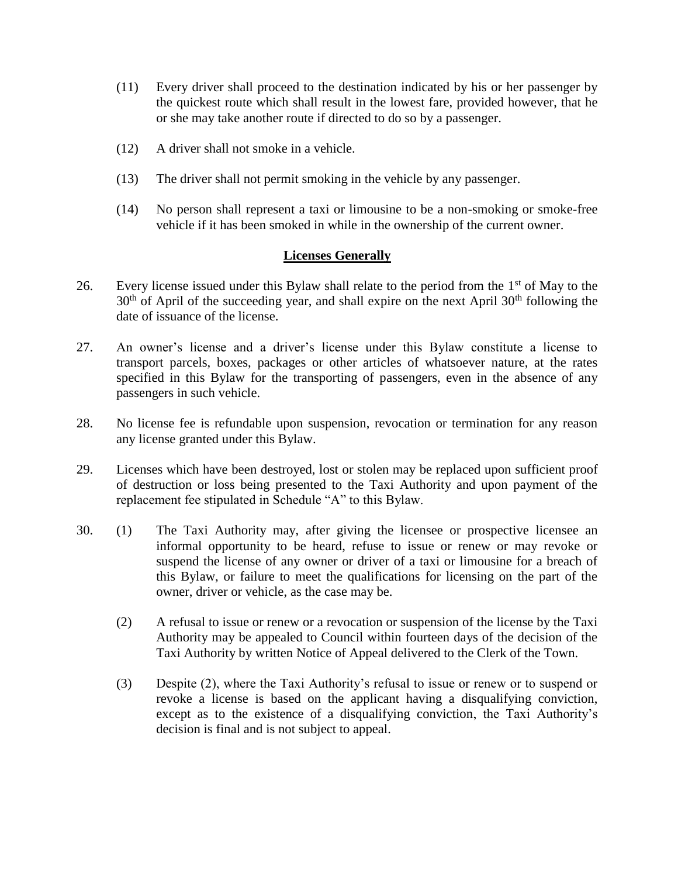- (11) Every driver shall proceed to the destination indicated by his or her passenger by the quickest route which shall result in the lowest fare, provided however, that he or she may take another route if directed to do so by a passenger.
- (12) A driver shall not smoke in a vehicle.
- (13) The driver shall not permit smoking in the vehicle by any passenger.
- (14) No person shall represent a taxi or limousine to be a non-smoking or smoke-free vehicle if it has been smoked in while in the ownership of the current owner.

#### **Licenses Generally**

- 26. Every license issued under this Bylaw shall relate to the period from the  $1<sup>st</sup>$  of May to the  $30<sup>th</sup>$  of April of the succeeding year, and shall expire on the next April  $30<sup>th</sup>$  following the date of issuance of the license.
- 27. An owner's license and a driver's license under this Bylaw constitute a license to transport parcels, boxes, packages or other articles of whatsoever nature, at the rates specified in this Bylaw for the transporting of passengers, even in the absence of any passengers in such vehicle.
- 28. No license fee is refundable upon suspension, revocation or termination for any reason any license granted under this Bylaw.
- 29. Licenses which have been destroyed, lost or stolen may be replaced upon sufficient proof of destruction or loss being presented to the Taxi Authority and upon payment of the replacement fee stipulated in Schedule "A" to this Bylaw.
- 30. (1) The Taxi Authority may, after giving the licensee or prospective licensee an informal opportunity to be heard, refuse to issue or renew or may revoke or suspend the license of any owner or driver of a taxi or limousine for a breach of this Bylaw, or failure to meet the qualifications for licensing on the part of the owner, driver or vehicle, as the case may be.
	- (2) A refusal to issue or renew or a revocation or suspension of the license by the Taxi Authority may be appealed to Council within fourteen days of the decision of the Taxi Authority by written Notice of Appeal delivered to the Clerk of the Town.
	- (3) Despite (2), where the Taxi Authority's refusal to issue or renew or to suspend or revoke a license is based on the applicant having a disqualifying conviction, except as to the existence of a disqualifying conviction, the Taxi Authority's decision is final and is not subject to appeal.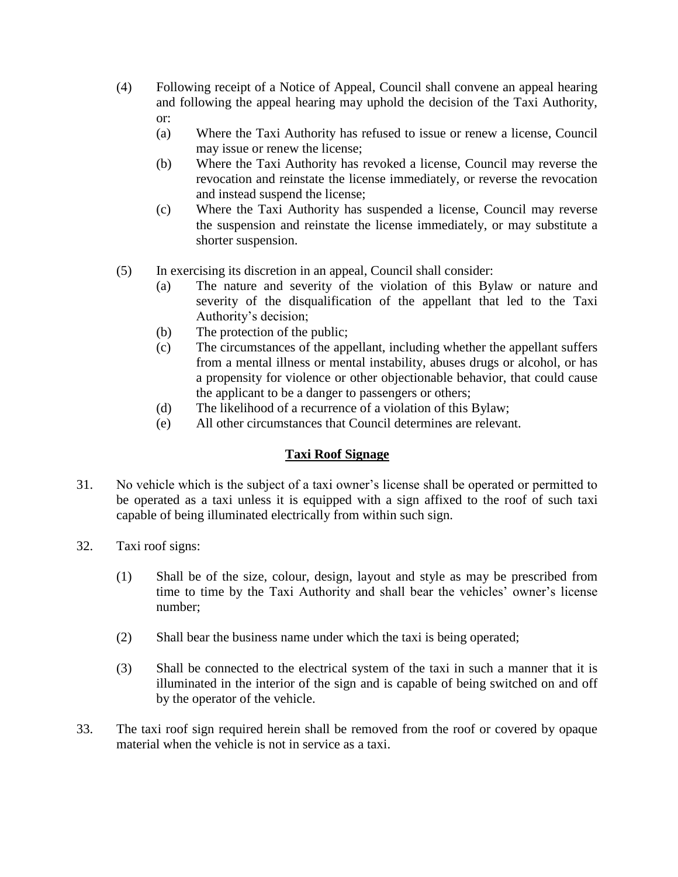- (4) Following receipt of a Notice of Appeal, Council shall convene an appeal hearing and following the appeal hearing may uphold the decision of the Taxi Authority, or:
	- (a) Where the Taxi Authority has refused to issue or renew a license, Council may issue or renew the license;
	- (b) Where the Taxi Authority has revoked a license, Council may reverse the revocation and reinstate the license immediately, or reverse the revocation and instead suspend the license;
	- (c) Where the Taxi Authority has suspended a license, Council may reverse the suspension and reinstate the license immediately, or may substitute a shorter suspension.
- (5) In exercising its discretion in an appeal, Council shall consider:
	- (a) The nature and severity of the violation of this Bylaw or nature and severity of the disqualification of the appellant that led to the Taxi Authority's decision;
	- (b) The protection of the public;
	- (c) The circumstances of the appellant, including whether the appellant suffers from a mental illness or mental instability, abuses drugs or alcohol, or has a propensity for violence or other objectionable behavior, that could cause the applicant to be a danger to passengers or others;
	- (d) The likelihood of a recurrence of a violation of this Bylaw;
	- (e) All other circumstances that Council determines are relevant.

# **Taxi Roof Signage**

- 31. No vehicle which is the subject of a taxi owner's license shall be operated or permitted to be operated as a taxi unless it is equipped with a sign affixed to the roof of such taxi capable of being illuminated electrically from within such sign.
- 32. Taxi roof signs:
	- (1) Shall be of the size, colour, design, layout and style as may be prescribed from time to time by the Taxi Authority and shall bear the vehicles' owner's license number;
	- (2) Shall bear the business name under which the taxi is being operated;
	- (3) Shall be connected to the electrical system of the taxi in such a manner that it is illuminated in the interior of the sign and is capable of being switched on and off by the operator of the vehicle.
- 33. The taxi roof sign required herein shall be removed from the roof or covered by opaque material when the vehicle is not in service as a taxi.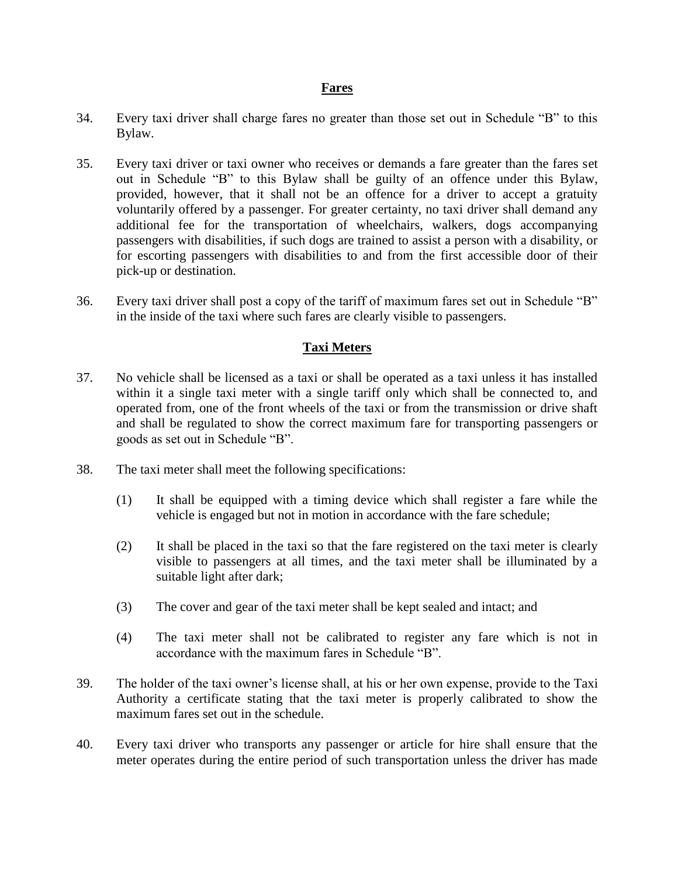#### **Fares**

- 34. Every taxi driver shall charge fares no greater than those set out in Schedule "B" to this Bylaw.
- 35. Every taxi driver or taxi owner who receives or demands a fare greater than the fares set out in Schedule "B" to this Bylaw shall be guilty of an offence under this Bylaw, provided, however, that it shall not be an offence for a driver to accept a gratuity voluntarily offered by a passenger. For greater certainty, no taxi driver shall demand any additional fee for the transportation of wheelchairs, walkers, dogs accompanying passengers with disabilities, if such dogs are trained to assist a person with a disability, or for escorting passengers with disabilities to and from the first accessible door of their pick-up or destination.
- 36. Every taxi driver shall post a copy of the tariff of maximum fares set out in Schedule "B" in the inside of the taxi where such fares are clearly visible to passengers.

#### **Taxi Meters**

- 37. No vehicle shall be licensed as a taxi or shall be operated as a taxi unless it has installed within it a single taxi meter with a single tariff only which shall be connected to, and operated from, one of the front wheels of the taxi or from the transmission or drive shaft and shall be regulated to show the correct maximum fare for transporting passengers or goods as set out in Schedule "B".
- 38. The taxi meter shall meet the following specifications:
	- (1) It shall be equipped with a timing device which shall register a fare while the vehicle is engaged but not in motion in accordance with the fare schedule;
	- (2) It shall be placed in the taxi so that the fare registered on the taxi meter is clearly visible to passengers at all times, and the taxi meter shall be illuminated by a suitable light after dark;
	- (3) The cover and gear of the taxi meter shall be kept sealed and intact; and
	- (4) The taxi meter shall not be calibrated to register any fare which is not in accordance with the maximum fares in Schedule "B".
- 39. The holder of the taxi owner's license shall, at his or her own expense, provide to the Taxi Authority a certificate stating that the taxi meter is properly calibrated to show the maximum fares set out in the schedule.
- 40. Every taxi driver who transports any passenger or article for hire shall ensure that the meter operates during the entire period of such transportation unless the driver has made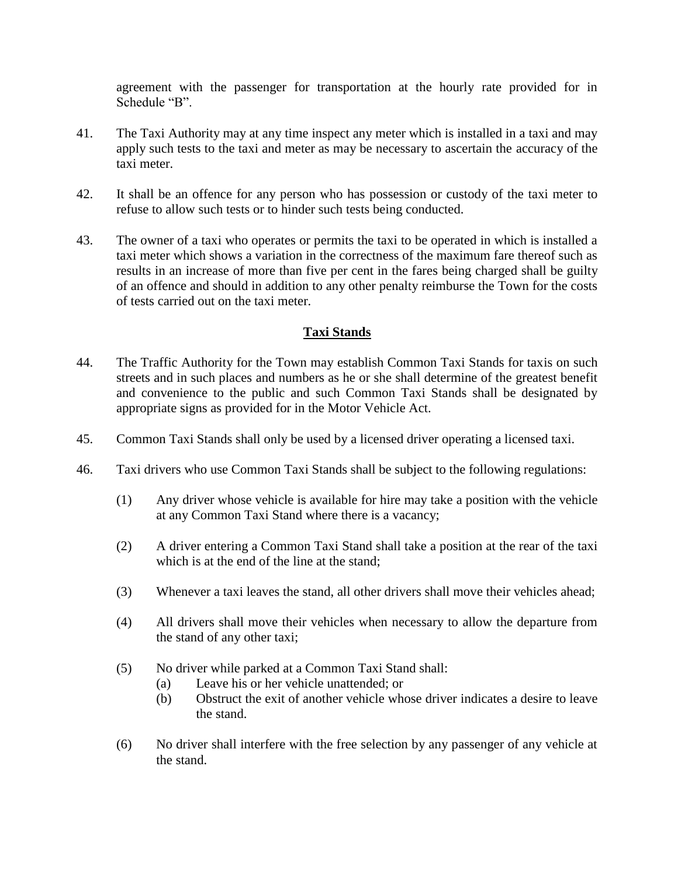agreement with the passenger for transportation at the hourly rate provided for in Schedule "B".

- 41. The Taxi Authority may at any time inspect any meter which is installed in a taxi and may apply such tests to the taxi and meter as may be necessary to ascertain the accuracy of the taxi meter.
- 42. It shall be an offence for any person who has possession or custody of the taxi meter to refuse to allow such tests or to hinder such tests being conducted.
- 43. The owner of a taxi who operates or permits the taxi to be operated in which is installed a taxi meter which shows a variation in the correctness of the maximum fare thereof such as results in an increase of more than five per cent in the fares being charged shall be guilty of an offence and should in addition to any other penalty reimburse the Town for the costs of tests carried out on the taxi meter.

# **Taxi Stands**

- 44. The Traffic Authority for the Town may establish Common Taxi Stands for taxis on such streets and in such places and numbers as he or she shall determine of the greatest benefit and convenience to the public and such Common Taxi Stands shall be designated by appropriate signs as provided for in the Motor Vehicle Act.
- 45. Common Taxi Stands shall only be used by a licensed driver operating a licensed taxi.
- 46. Taxi drivers who use Common Taxi Stands shall be subject to the following regulations:
	- (1) Any driver whose vehicle is available for hire may take a position with the vehicle at any Common Taxi Stand where there is a vacancy;
	- (2) A driver entering a Common Taxi Stand shall take a position at the rear of the taxi which is at the end of the line at the stand;
	- (3) Whenever a taxi leaves the stand, all other drivers shall move their vehicles ahead;
	- (4) All drivers shall move their vehicles when necessary to allow the departure from the stand of any other taxi;
	- (5) No driver while parked at a Common Taxi Stand shall:
		- (a) Leave his or her vehicle unattended; or
		- (b) Obstruct the exit of another vehicle whose driver indicates a desire to leave the stand.
	- (6) No driver shall interfere with the free selection by any passenger of any vehicle at the stand.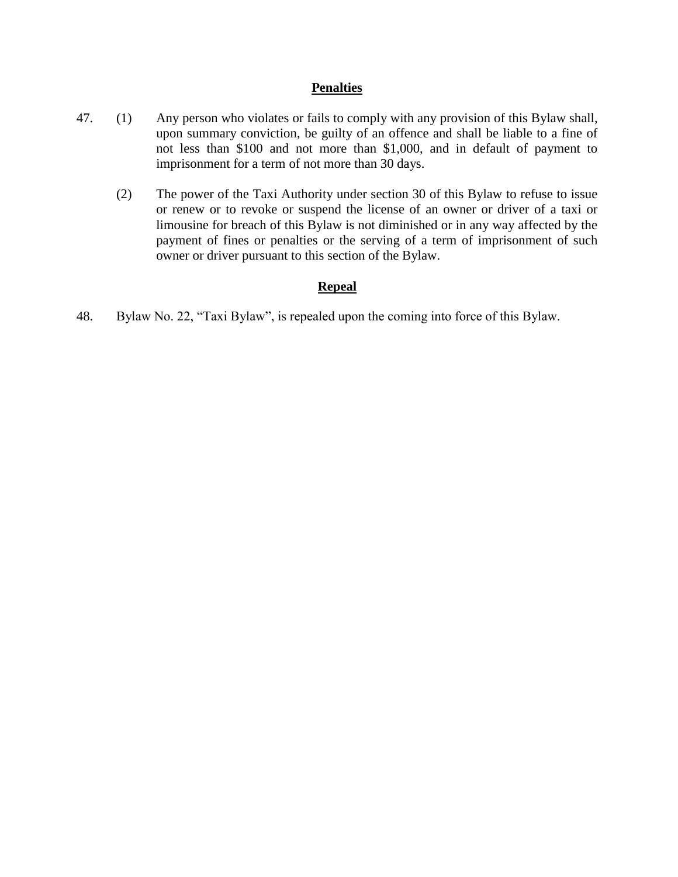#### **Penalties**

- 47. (1) Any person who violates or fails to comply with any provision of this Bylaw shall, upon summary conviction, be guilty of an offence and shall be liable to a fine of not less than \$100 and not more than \$1,000, and in default of payment to imprisonment for a term of not more than 30 days.
	- (2) The power of the Taxi Authority under section 30 of this Bylaw to refuse to issue or renew or to revoke or suspend the license of an owner or driver of a taxi or limousine for breach of this Bylaw is not diminished or in any way affected by the payment of fines or penalties or the serving of a term of imprisonment of such owner or driver pursuant to this section of the Bylaw.

# **Repeal**

48. Bylaw No. 22, "Taxi Bylaw", is repealed upon the coming into force of this Bylaw.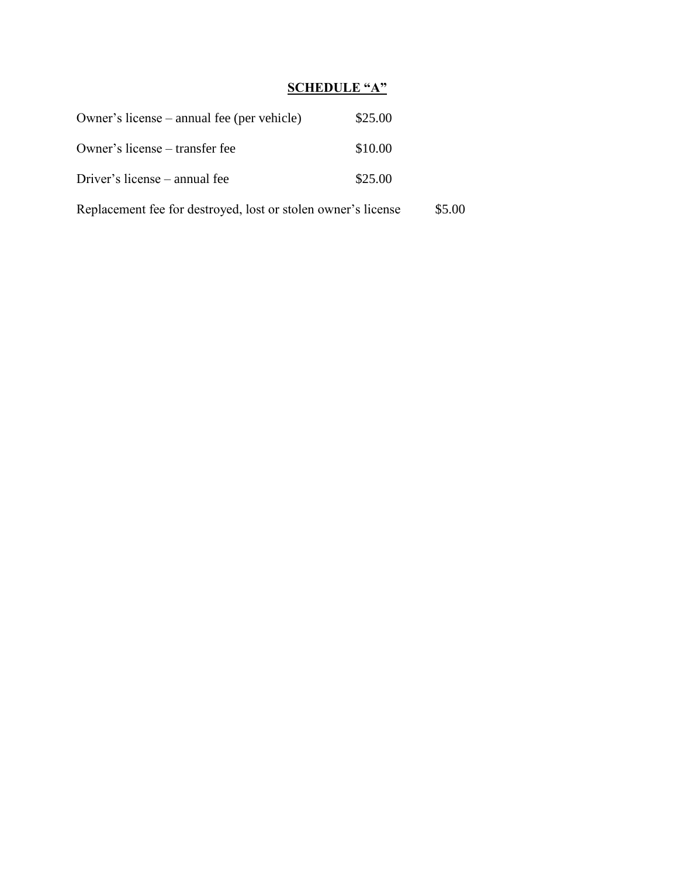# **SCHEDULE "A"**

| Owner's license – annual fee (per vehicle)                    | \$25.00 |        |
|---------------------------------------------------------------|---------|--------|
| Owner's license – transfer fee                                | \$10.00 |        |
| Driver's license – annual fee                                 | \$25.00 |        |
| Replacement fee for destroyed, lost or stolen owner's license |         | \$5.00 |